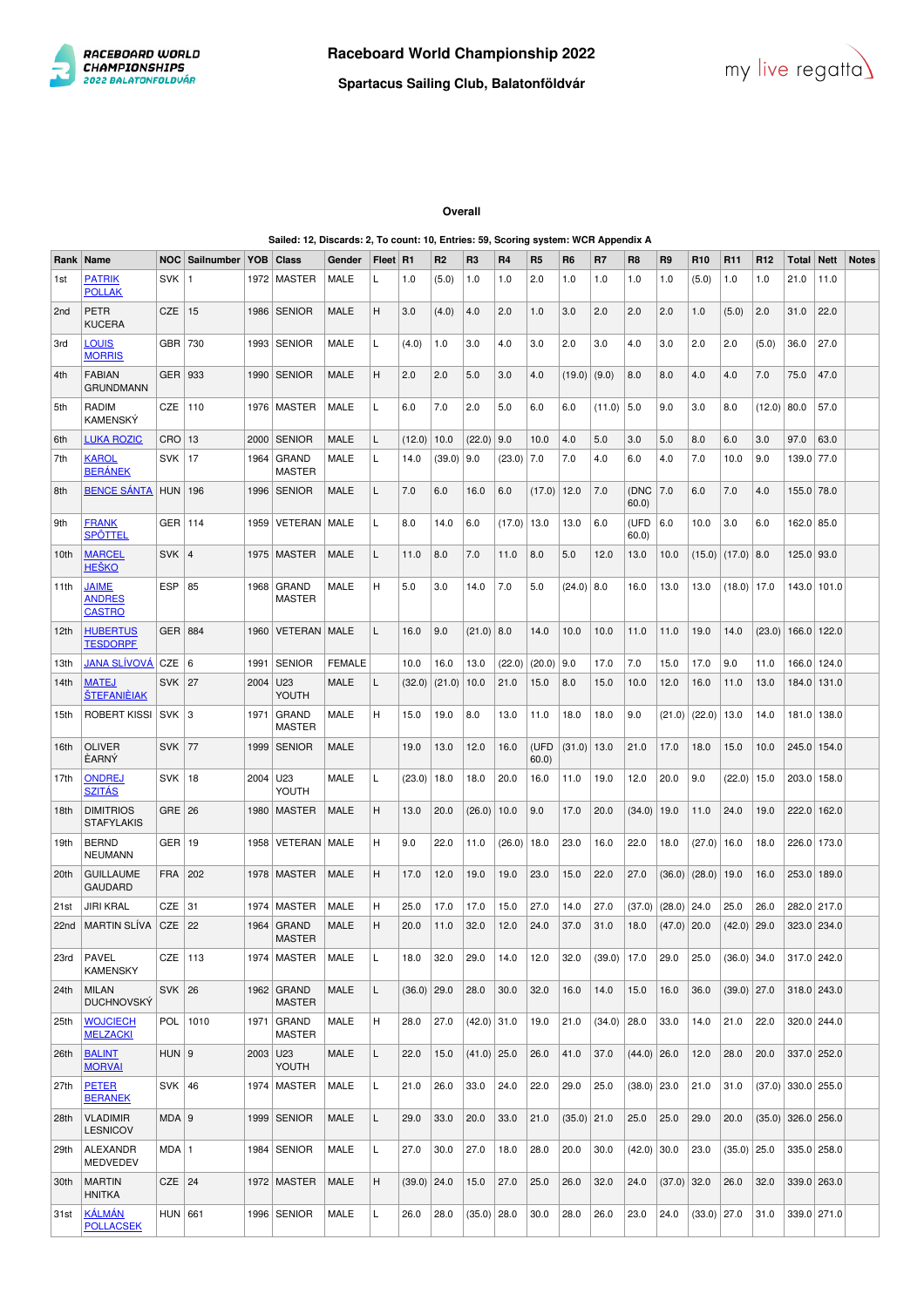



## **Overall**

## **Sailed: 12, Discards: 2, To count: 10, Entries: 59, Scoring system: WCR Appendix A**

| Rank             | Name                                           | NOC           | Sailnumber   YOB |          | Class                         | Gender        | Fleet   R1 |               | R <sub>2</sub> | R <sub>3</sub> | R <sub>4</sub> | R <sub>5</sub> | R <sub>6</sub> | R7              | R <sub>8</sub> | R <sub>9</sub> | R <sub>10</sub> | R <sub>11</sub> | R <sub>12</sub> | Total         | <b>Nett</b>   | <b>Notes</b> |
|------------------|------------------------------------------------|---------------|------------------|----------|-------------------------------|---------------|------------|---------------|----------------|----------------|----------------|----------------|----------------|-----------------|----------------|----------------|-----------------|-----------------|-----------------|---------------|---------------|--------------|
| 1st              | <b>PATRIK</b><br><b>POLLAK</b>                 | <b>SVK</b>    |                  | 1972     | MASTER                        | MALE          | L          | 1.0           | (5.0)          | 1.0            | 1.0            | 2.0            | 1.0            | 1.0             | 1.0            | 1.0            | (5.0)           | 1.0             | 1.0             | 21.0          | 11.0          |              |
| 2 <sub>nd</sub>  | <b>PETR</b><br><b>KUCERA</b>                   | CZE           | 15               | 1986     | <b>SENIOR</b>                 | MALE          | H          | 3.0           | (4.0)          | 4.0            | 2.0            | 1.0            | 3.0            | 2.0             | 2.0            | 2.0            | 1.0             | (5.0)           | 2.0             | 31.0          | 22.0          |              |
| 3rd              | <b>LOUIS</b><br><b>MORRIS</b>                  | GBR           | 730              |          | 1993   SENIOR                 | MALE          | L          | (4.0)         | 1.0            | 3.0            | 4.0            | 3.0            | 2.0            | 3.0             | 4.0            | 3.0            | 2.0             | 2.0             | (5.0)           | 36.0          | 27.0          |              |
| 4th              | <b>FABIAN</b><br><b>GRUNDMANN</b>              | GER   933     |                  |          | 1990   SENIOR                 | MALE          | н          | 2.0           | 2.0            | 5.0            | 3.0            | 4.0            | (19.0)         | (9.0)           | 8.0            | 8.0            | 4.0             | 4.0             | 7.0             | 75.0          | 47.0          |              |
| 5th              | RADIM<br><b>KAMENSKÝ</b>                       | CZE           | 110              |          | 1976   MASTER                 | MALE          | L          | 6.0           | 7.0            | 2.0            | 5.0            | 6.0            | 6.0            | (11.0)          | 5.0            | 9.0            | 3.0             | 8.0             | (12.0)          | 80.0          | 57.0          |              |
| 6th              | <b>LUKA ROZIC</b>                              | $CRO$ 13      |                  | 2000     | <b>SENIOR</b>                 | MALE          | L          | (12.0)        | 10.0           | (22.0)         | 9.0            | 10.0           | 4.0            | 5.0             | 3.0            | 5.0            | 8.0             | 6.0             | 3.0             | 97.0          | 63.0          |              |
| 7th              | <b>KAROL</b><br><b>BERÁNEK</b>                 | <b>SVK</b>    | 17               | 1964     | GRAND<br><b>MASTER</b>        | MALE          | L          | 14.0          | (39.0)         | 9.0            | (23.0)         | 7.0            | 7.0            | 4.0             | 6.0            | 4.0            | 7.0             | 10.0            | 9.0             | 139.0 77.0    |               |              |
| 8th              | <b>BENCE SANTA</b>                             | <b>HUN</b>    | 196              | 1996     | SENIOR                        | MALE          | L          | 7.0           | 6.0            | 16.0           | 6.0            | (17.0)         | 12.0           | 7.0             | (DNC<br>60.0   | 7.0            | 6.0             | 7.0             | 4.0             | 155.0 78.0    |               |              |
| 9th              | <b>FRANK</b><br><b>SPÖTTEL</b>                 | GER   114     |                  | 1959     | VETERAN   MALE                |               | L          | 8.0           | 14.0           | 6.0            | (17.0)         | 13.0           | 13.0           | 6.0             | (UFD<br>60.0   | 6.0            | 10.0            | 3.0             | 6.0             | 162.0 85.0    |               |              |
| 10th             | <b>MARCEL</b><br><b>HEŠKO</b>                  | <b>SVK</b>    | $\overline{4}$   |          | 1975   MASTER                 | MALE          | L          | 11.0          | 8.0            | 7.0            | 11.0           | 8.0            | 5.0            | 12.0            | 13.0           | 10.0           | (15.0)          | $(17.0)$ 8.0    |                 | 125.0 93.0    |               |              |
| 11th             | <b>JAIME</b><br><b>ANDRES</b><br><b>CASTRO</b> | <b>ESP</b>    | 85               |          | 1968   GRAND<br><b>MASTER</b> | MALE          | н          | 5.0           | 3.0            | 14.0           | 7.0            | 5.0            | (24.0)         | 8.0             | 16.0           | 13.0           | 13.0            | $(18.0)$ 17.0   |                 |               | 143.0   101.0 |              |
| 12th             | <b>HUBERTUS</b><br><b>TESDORPF</b>             | GER   884     |                  | 1960     | <b>VETERAN MALE</b>           |               | L          | 16.0          | 9.0            | $(21.0)$ 8.0   |                | 14.0           | 10.0           | 10.0            | 11.0           | 11.0           | 19.0            | 14.0            | (23.0)          |               | 166.0   122.0 |              |
| 13th             | <b>JANA SLÍVOVÁ</b>                            | CZE $ 6$      |                  | 1991     | <b>SENIOR</b>                 | <b>FEMALE</b> |            | 10.0          | 16.0           | 13.0           | (22.0)         | (20.0)         | 9.0            | 17.0            | 7.0            | 15.0           | 17.0            | 9.0             | 11.0            |               | 166.0   124.0 |              |
| 14th             | <b>MATEJ</b><br><b>ŠTEFANIÈIAK</b>             | SVK 27        |                  | 2004 U23 | YOUTH                         | MALE          | Г          | (32.0)        | (21.0)         | 10.0           | 21.0           | 15.0           | 8.0            | 15.0            | 10.0           | 12.0           | 16.0            | 11.0            | 13.0            |               | 184.0   131.0 |              |
| 15th             | <b>ROBERT KISSI</b>                            | $SVK$ 3       |                  | 1971     | GRAND<br><b>MASTER</b>        | MALE          | н          | 15.0          | 19.0           | 8.0            | 13.0           | 11.0           | 18.0           | 18.0            | 9.0            | (21.0)         | (22.0)          | 13.0            | 14.0            |               | 181.0 138.0   |              |
| 16th             | <b>OLIVER</b><br><b>EARNÝ</b>                  | <b>SVK 77</b> |                  | 1999     | <b>SENIOR</b>                 | <b>MALE</b>   |            | 19.0          | 13.0           | 12.0           | 16.0           | (UFD<br>60.0   | (31.0)         | 13.0            | 21.0           | 17.0           | 18.0            | 15.0            | 10.0            | 245.0   154.0 |               |              |
| 17th             | <b>ONDREJ</b><br><b>SZITÁS</b>                 | <b>SVK</b>    | 18               | 2004     | U23<br>YOUTH                  | MALE          | L          | (23.0)        | 18.0           | 18.0           | 20.0           | 16.0           | 11.0           | 19.0            | 12.0           | 20.0           | 9.0             | (22.0)          | 15.0            | 203.0 158.0   |               |              |
| 18th             | <b>DIMITRIOS</b><br><b>STAFYLAKIS</b>          | $GRE$ 26      |                  |          | 1980   MASTER                 | MALE          | н          | 13.0          | 20.0           | (26.0)         | 10.0           | 9.0            | 17.0           | 20.0            | (34.0)         | 19.0           | 11.0            | 24.0            | 19.0            |               | 222.0 162.0   |              |
| 19th             | <b>BERND</b><br><b>NEUMANN</b>                 | $GER$   19    |                  | 1958     | VETERAN   MALE                |               | н          | 9.0           | 22.0           | 11.0           | (26.0)         | 18.0           | 23.0           | 16.0            | 22.0           | 18.0           | $(27.0)$   16.0 |                 | 18.0            |               | 226.0   173.0 |              |
| 20th             | <b>GUILLAUME</b><br><b>GAUDARD</b>             | <b>FRA</b>    | 202              |          | 1978   MASTER                 | MALE          | H          | 17.0          | 12.0           | 19.0           | 19.0           | 23.0           | 15.0           | 22.0            | 27.0           | (36.0)         | (28.0)          | 19.0            | 16.0            |               | 253.0   189.0 |              |
| 21st             | <b>JIRI KRAL</b>                               | CZE           | 31               | 1974     | MASTER                        | MALE          | н          | 25.0          | 17.0           | 17.0           | 15.0           | 27.0           | 14.0           | 27.0            | (37.0)         | (28.0)         | 24.0            | 25.0            | 26.0            |               | 282.0 217.0   |              |
| 22 <sub>nd</sub> | <b>MARTIN SLIVA</b>                            | CZE           | 22               | 1964     | GRAND<br>MASTER               | MALE          | H          | 20.0          | 11.0           | 32.0           | 12.0           | 24.0           | 37.0           | 31.0            | 18.0           | $(47.0)$ 20.0  |                 | $(42.0)$ 29.0   |                 |               | 323.0 234.0   |              |
| 23rd             | <b>PAVEL</b><br><b>KAMENSKY</b>                | $CZE$   113   |                  |          | 1974   MASTER                 | MALE          | L          | 18.0          | 32.0           | 29.0           | 14.0           | 12.0           | 32.0           | $(39.0)$   17.0 |                | 29.0           | 25.0            | $(36.0)$ 34.0   |                 | $317.0$ 242.0 |               |              |
| 24th             | <b>MILAN</b><br><b>DUCHNOVSKÝ</b>              | $SVK$ 26      |                  |          | 1962 GRAND<br><b>MASTER</b>   | <b>MALE</b>   | L          | $(36.0)$ 29.0 |                | 28.0           | 30.0           | 32.0           | 16.0           | 14.0            | 15.0           | 16.0           | 36.0            | $(39.0)$ 27.0   |                 |               | 318.0 243.0   |              |
| 25th             | <b>WOJCIECH</b><br><b>MELZACKI</b>             | POL           | 1010             |          | 1971 GRAND<br><b>MASTER</b>   | MALE          | н          | 28.0          | 27.0           | $(42.0)$ 31.0  |                | 19.0           | 21.0           | (34.0)          | 28.0           | 33.0           | 14.0            | 21.0            | 22.0            |               | 320.0 244.0   |              |
| 26th             | <b>BALINT</b><br><b>MORVAL</b>                 | HUN   9       |                  | 2003 U23 | YOUTH                         | MALE          | Г          | 22.0          | 15.0           | $(41.0)$ 25.0  |                | 26.0           | 41.0           | 37.0            | $(44.0)$ 26.0  |                | 12.0            | 28.0            | 20.0            |               | 337.0 252.0   |              |
| 27th             | <b>PETER</b><br><b>BERANEK</b>                 | SVK $ 46$     |                  |          | 1974   MASTER                 | MALE          | Г          | 21.0          | 26.0           | 33.0           | 24.0           | 22.0           | 29.0           | 25.0            | $(38.0)$ 23.0  |                | 21.0            | 31.0            | (37.0)          | $330.0$ 255.0 |               |              |
| 28th             | <b>VLADIMIR</b><br><b>LESNICOV</b>             | $MDA$   9     |                  |          | 1999   SENIOR                 | MALE          | Г          | 29.0          | 33.0           | 20.0           | 33.0           | 21.0           | (35.0)         | 21.0            | 25.0           | 25.0           | 29.0            | 20.0            | (35.0)          | $326.0$ 256.0 |               |              |
| 29th             | ALEXANDR<br>MEDVEDEV                           | $MDA$   1     |                  |          | 1984 SENIOR                   | MALE          | Г          | 27.0          | 30.0           | 27.0           | 18.0           | 28.0           | 20.0           | 30.0            | $(42.0)$ 30.0  |                | 23.0            | $(35.0)$ 25.0   |                 |               | 335.0 258.0   |              |
| 30th             | <b>MARTIN</b><br><b>HNITKA</b>                 | CZE $ 24$     |                  |          | 1972   MASTER                 | MALE          | H          | $(39.0)$ 24.0 |                | 15.0           | 27.0           | 25.0           | 26.0           | 32.0            | 24.0           | $(37.0)$ 32.0  |                 | 26.0            | 32.0            |               | 339.0 263.0   |              |
| 31st             | <b>KÁLMÁN</b><br><b>POLLACSEK</b>              | $HUN$ 661     |                  |          | 1996 SENIOR                   | MALE          | Г          | 26.0          | 28.0           | $(35.0)$ 28.0  |                | 30.0           | 28.0           | 26.0            | 23.0           | 24.0           | $(33.0)$ 27.0   |                 | 31.0            |               | 339.0 271.0   |              |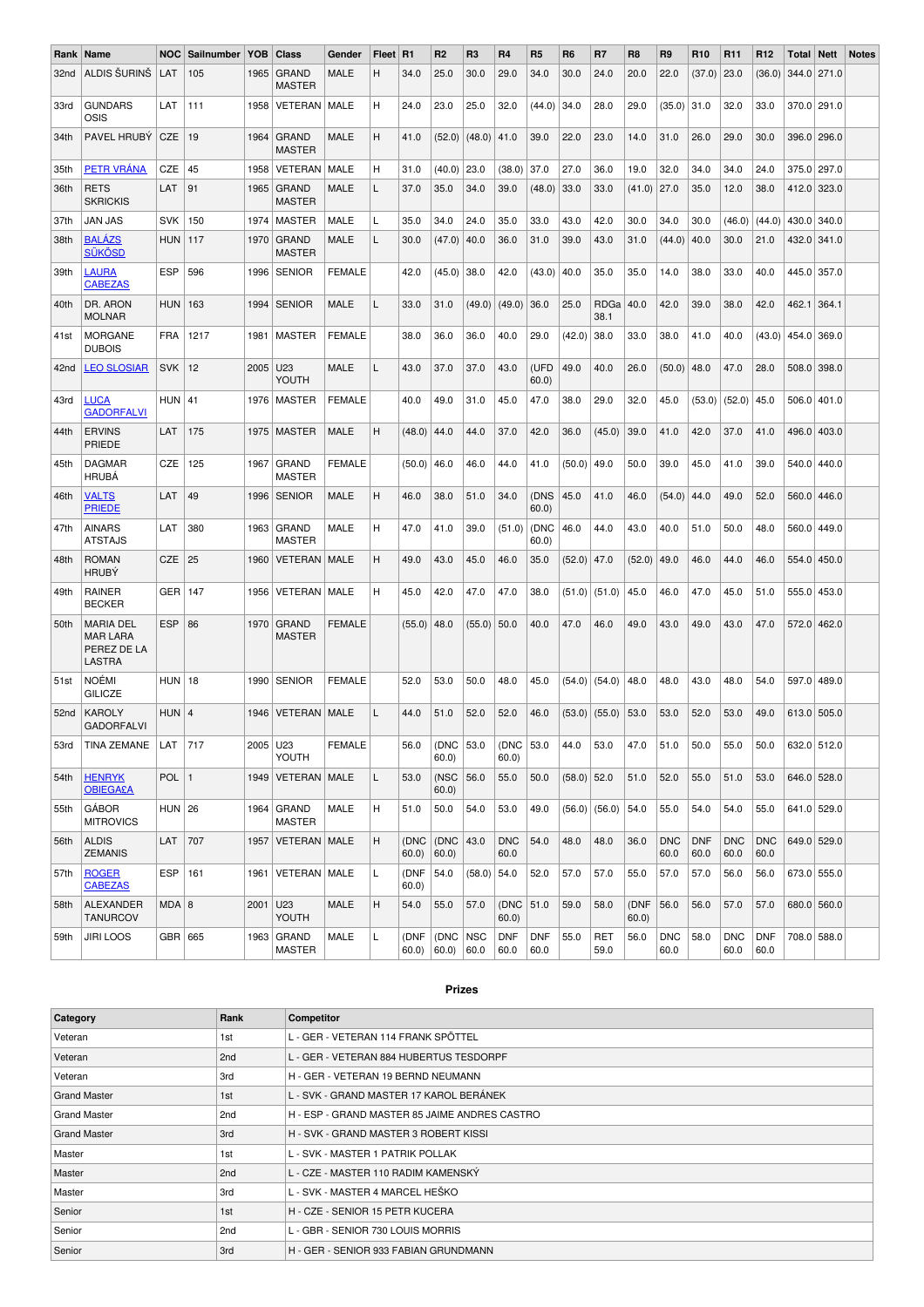| Rank             | Name                                                         | <b>NOC</b> | Sailnumber | YOB. | Class                         | Gender        | Fleet   R1 |                | R <sub>2</sub>     | R <sub>3</sub> | <b>R4</b>            | R <sub>5</sub>     | <b>R6</b>     | R7                   | R <sub>8</sub> | R <sub>9</sub>     | R <sub>10</sub>    | R <sub>11</sub>    | R <sub>12</sub>    | Total | <b>Nett</b>     | <b>Notes</b> |
|------------------|--------------------------------------------------------------|------------|------------|------|-------------------------------|---------------|------------|----------------|--------------------|----------------|----------------------|--------------------|---------------|----------------------|----------------|--------------------|--------------------|--------------------|--------------------|-------|-----------------|--------------|
| 32nd             | ALDIS ŠURINŠ                                                 | LAT        | 105        | 1965 | <b>GRAND</b><br><b>MASTER</b> | <b>MALE</b>   | н          | 34.0           | 25.0               | 30.0           | 29.0                 | 34.0               | 30.0          | 24.0                 | 20.0           | 22.0               | (37.0)             | 23.0               | (36.0)             |       | 344.0 271.0     |              |
| 33rd             | <b>GUNDARS</b><br>OSIS                                       | LAT        | 111        | 1958 | <b>VETERAN   MALE</b>         |               | н          | 24.0           | 23.0               | 25.0           | 32.0                 | (44.0)             | 34.0          | 28.0                 | 29.0           | (35.0)             | 31.0               | 32.0               | 33.0               |       | 370.0 291.0     |              |
| 34th             | PAVEL HRUBY                                                  | CZE        | 19         | 1964 | <b>GRAND</b><br><b>MASTER</b> | MALE          | н          | 41.0           | (52.0)             | (48.0)         | 41.0                 | 39.0               | 22.0          | 23.0                 | 14.0           | 31.0               | 26.0               | 29.0               | 30.0               |       | 396.0 296.0     |              |
| 35th             | PETR VRÁNA                                                   | CZE        | 45         | 1958 | VETERAN                       | MALE          | н          | 31.0           | (40.0)             | 23.0           | (38.0)               | 37.0               | 27.0          | 36.0                 | 19.0           | 32.0               | 34.0               | 34.0               | 24.0               |       | 375.0 297.0     |              |
| 36th             | <b>RETS</b><br><b>SKRICKIS</b>                               | LAT        | 91         | 1965 | <b>GRAND</b><br><b>MASTER</b> | MALE          | L          | 37.0           | 35.0               | 34.0           | 39.0                 | (48.0)             | 33.0          | 33.0                 | $(41.0)$ 27.0  |                    | 35.0               | 12.0               | 38.0               |       | 412.0 323.0     |              |
| 37th             | <b>JAN JAS</b>                                               | <b>SVK</b> | 150        |      | 1974   MASTER                 | MALE          | L          | 35.0           | 34.0               | 24.0           | 35.0                 | 33.0               | 43.0          | 42.0                 | 30.0           | 34.0               | 30.0               | (46.0)             | (44.0)             |       | 430.0 340.0     |              |
| 38th             | <b>BALÁZS</b><br>SÜKÖSD                                      | <b>HUN</b> | 117        |      | 1970 GRAND<br><b>MASTER</b>   | <b>MALE</b>   | L          | 30.0           | (47.0)             | 40.0           | 36.0                 | 31.0               | 39.0          | 43.0                 | 31.0           | (44.0)             | 40.0               | 30.0               | 21.0               |       | 432.0 341.0     |              |
| 39th             | <b>LAURA</b><br><b>CABEZAS</b>                               | <b>ESP</b> | 596        |      | 1996   SENIOR                 | <b>FEMALE</b> |            | 42.0           | (45.0)             | 38.0           | 42.0                 | (43.0)             | 40.0          | 35.0                 | 35.0           | 14.0               | 38.0               | 33.0               | 40.0               |       | 445.0 357.0     |              |
| 40th             | DR. ARON<br><b>MOLNAR</b>                                    | <b>HUN</b> | 163        |      | 1994   SENIOR                 | MALE          | L          | 33.0           | 31.0               | (49.0)         | (49.0)               | 36.0               | 25.0          | RDGa<br>38.1         | 40.0           | 42.0               | 39.0               | 38.0               | 42.0               | 462.1 | 364.1           |              |
| 41st             | MORGANE<br><b>DUBOIS</b>                                     | <b>FRA</b> | 1217       | 1981 | <b>MASTER</b>                 | <b>FEMALE</b> |            | 38.0           | 36.0               | 36.0           | 40.0                 | 29.0               | (42.0)        | 38.0                 | 33.0           | 38.0               | 41.0               | 40.0               | (43.0)             | 454.0 | 369.0           |              |
| 42nd             | <b>LEO SLOSIAR</b>                                           | <b>SVK</b> | 12         | 2005 | U <sub>23</sub><br>YOUTH      | <b>MALE</b>   | L          | 43.0           | 37.0               | 37.0           | 43.0                 | (UFD<br>60.0       | 49.0          | 40.0                 | 26.0           | (50.0)             | 48.0               | 47.0               | 28.0               |       | $508.0$ 398.0   |              |
| 43rd             | <b>LUCA</b><br><b>GADORFALVI</b>                             | $HUN$ 41   |            |      | 1976   MASTER                 | <b>FEMALE</b> |            | 40.0           | 49.0               | 31.0           | 45.0                 | 47.0               | 38.0          | 29.0                 | 32.0           | 45.0               | (53.0)             | (52.0)             | 45.0               |       | $506.0$   401.0 |              |
| 44th             | <b>ERVINS</b><br>PRIEDE                                      | LAT        | 175        |      | 1975   MASTER                 | MALE          | H          | (48.0)         | 44.0               | 44.0           | 37.0                 | 42.0               | 36.0          | (45.0)               | 39.0           | 41.0               | 42.0               | 37.0               | 41.0               |       | 496.0 403.0     |              |
| 45th             | <b>DAGMAR</b><br><b>HRUBA</b>                                | <b>CZE</b> | 125        | 1967 | <b>GRAND</b><br><b>MASTER</b> | <b>FEMALE</b> |            | (50.0)         | 46.0               | 46.0           | 44.0                 | 41.0               | (50.0)        | 49.0                 | 50.0           | 39.0               | 45.0               | 41.0               | 39.0               |       | 540.0 440.0     |              |
| 46th             | <b>VALTS</b><br><b>PRIEDE</b>                                | LAT        | 49         |      | 1996   SENIOR                 | MALE          | H          | 46.0           | 38.0               | 51.0           | 34.0                 | (DNS<br>60.0       | 45.0          | 41.0                 | 46.0           | (54.0)             | 44.0               | 49.0               | 52.0               |       | 560.0 446.0     |              |
| 47th             | <b>AINARS</b><br><b>ATSTAJS</b>                              | LAT        | 380        |      | 1963 GRAND<br><b>MASTER</b>   | MALE          | н          | 47.0           | 41.0               | 39.0           | (51.0)               | (DNC<br>60.0       | 46.0          | 44.0                 | 43.0           | 40.0               | 51.0               | 50.0               | 48.0               |       | 560.0 449.0     |              |
| 48th             | <b>ROMAN</b><br><b>HRUBÝ</b>                                 | <b>CZE</b> | 25         | 1960 | VETERAN   MALE                |               | H          | 49.0           | 43.0               | 45.0           | 46.0                 | 35.0               | (52.0)        | 47.0                 | (52.0)         | 49.0               | 46.0               | 44.0               | 46.0               |       | 554.0 450.0     |              |
| 49th             | RAINER<br><b>BECKER</b>                                      | <b>GER</b> | 147        | 1956 | VETERAN   MALE                |               | н          | 45.0           | 42.0               | 47.0           | 47.0                 | 38.0               | (51.0)        | (51.0)               | 45.0           | 46.0               | 47.0               | 45.0               | 51.0               | 555.0 | 453.0           |              |
| 50th             | <b>MARIA DEL</b><br><b>MAR LARA</b><br>PEREZ DE LA<br>LASTRA | <b>ESP</b> | 86         | 1970 | <b>GRAND</b><br><b>MASTER</b> | <b>FEMALE</b> |            | (55.0)         | 48.0               | (55.0)         | 50.0                 | 40.0               | 47.0          | 46.0                 | 49.0           | 43.0               | 49.0               | 43.0               | 47.0               |       | 572.0 462.0     |              |
| 51st             | <b>NOÉMI</b><br><b>GILICZE</b>                               | $HUN$ 18   |            | 1990 | <b>SENIOR</b>                 | <b>FEMALE</b> |            | 52.0           | 53.0               | 50.0           | 48.0                 | 45.0               | (54.0)        | (54.0)               | 48.0           | 48.0               | 43.0               | 48.0               | 54.0               |       | 597.0 489.0     |              |
| 52 <sub>nd</sub> | <b>KAROLY</b><br><b>GADORFALVI</b>                           | $HUN$ 4    |            | 1946 | VETERAN   MALE                |               | L          | 44.0           | 51.0               | 52.0           | 52.0                 | 46.0               | (53.0)        | (55.0)               | 53.0           | 53.0               | 52.0               | 53.0               | 49.0               |       | 613.0 505.0     |              |
| 53rd             | TINA ZEMANE   LAT   717                                      |            |            |      | $2005$ U23<br>YOUTH           | FEMALE        |            | 56.0 (DNC 53.0 | 60.0               |                | $(DNC)$ 53.0<br>60.0 |                    | 44.0          | 53.0                 | $ 47.0\rangle$ | 51.0               | 50.0               | 55.0               | 50.0               |       | 632.0 512.0     |              |
| 54th             | <b>HENRYK</b><br><b>OBIEGA£A</b>                             | POL $ 1$   |            |      | 1949   VETERAN   MALE         |               | L          | 53.0           | (NSC<br>60.0       | 56.0           | 55.0                 | 50.0               | $(58.0)$ 52.0 |                      | 51.0           | 52.0               | 55.0               | 51.0               | 53.0               |       | 646.0 528.0     |              |
| 55th             | <b>GÁBOR</b><br><b>MITROVICS</b>                             | $HUN$ 26   |            |      | $1964$ GRAND<br><b>MASTER</b> | MALE          | н          | 51.0           | 50.0               | 54.0           | 53.0                 | 49.0               |               | $(56.0)$ (56.0) 54.0 |                | 55.0               | 54.0               | 54.0               | 55.0               |       | 641.0 529.0     |              |
| 56th             | <b>ALDIS</b><br><b>ZEMANIS</b>                               | LAT        | 707        |      | 1957   VETERAN   MALE         |               | н          | (DNC<br>60.0   | (DNC<br>$60.0$ )   | 43.0           | <b>DNC</b><br>60.0   | 54.0               | 48.0          | 48.0                 | 36.0           | <b>DNC</b><br>60.0 | <b>DNF</b><br>60.0 | <b>DNC</b><br>60.0 | <b>DNC</b><br>60.0 |       | 649.0 529.0     |              |
| 57th             | <b>ROGER</b><br><b>CABEZAS</b>                               | <b>ESP</b> | 161        |      | 1961   VETERAN   MALE         |               | Г          | (DNF<br>60.0   | 54.0               | $(58.0)$ 54.0  |                      | 52.0               | 57.0          | 57.0                 | 55.0           | 57.0               | 57.0               | 56.0               | 56.0               |       | 673.0 555.0     |              |
| 58th             | ALEXANDER<br><b>TANURCOV</b>                                 | MDA   8    |            |      | 2001 U23<br>YOUTH             | MALE          | н          | 54.0           | 55.0               | 57.0           | (DNC 51.0)<br>60.0   |                    | 59.0          | 58.0                 | (DNF<br>60.0   | 56.0               | 56.0               | 57.0               | 57.0               |       | 680.0 560.0     |              |
| 59th             | <b>JIRI LOOS</b>                                             | GBR 665    |            |      | 1963 GRAND<br><b>MASTER</b>   | MALE          | Г          | (DNF<br>60.0   | (DNC   NSC<br>60.0 | 60.0           | <b>DNF</b><br>60.0   | <b>DNF</b><br>60.0 | 55.0          | RET<br>59.0          | 56.0           | <b>DNC</b><br>60.0 | 58.0               | <b>DNC</b><br>60.0 | <b>DNF</b><br>60.0 |       | 708.0 588.0     |              |

## **Prizes**

| Category            | Rank            | Competitor                                    |
|---------------------|-----------------|-----------------------------------------------|
| Veteran             | 1st             | L - GER - VETERAN 114 FRANK SPÖTTEL           |
| Veteran             | 2nd             | L - GER - VETERAN 884 HUBERTUS TESDORPF       |
| Veteran             | 3rd             | H - GER - VETERAN 19 BERND NEUMANN            |
| <b>Grand Master</b> | 1st             | L - SVK - GRAND MASTER 17 KAROL BERÁNEK       |
| <b>Grand Master</b> | 2 <sub>nd</sub> | H - ESP - GRAND MASTER 85 JAIME ANDRES CASTRO |
| <b>Grand Master</b> | 3rd             | H - SVK - GRAND MASTER 3 ROBERT KISSI         |
| Master              | 1st             | L - SVK - MASTER 1 PATRIK POLLAK              |
| Master              | 2nd             | L - CZE - MASTER 110 RADIM KAMENSKÝ           |
| Master              | 3rd             | L - SVK - MASTER 4 MARCEL HEŠKO               |
| Senior              | 1st             | H - CZE - SENIOR 15 PETR KUCERA               |
| Senior              | 2 <sub>nd</sub> | L - GBR - SENIOR 730 LOUIS MORRIS             |
| Senior              | 3rd             | H - GER - SENIOR 933 FABIAN GRUNDMANN         |